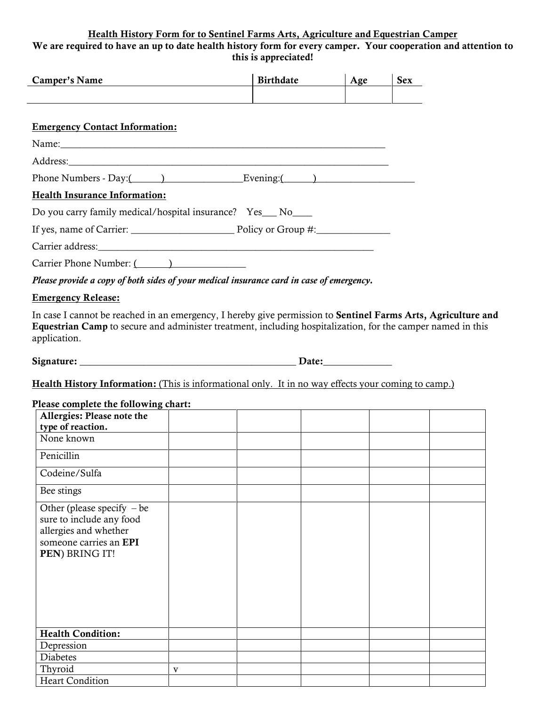## Health History Form for to Sentinel Farms Arts, Agriculture and Equestrian Camper We are required to have an up to date health history form for every camper. Your cooperation and attention to this is appreciated!

|                                                                                                                                                                                                                                              | this is appreciate. |                  |     |            |  |  |  |  |
|----------------------------------------------------------------------------------------------------------------------------------------------------------------------------------------------------------------------------------------------|---------------------|------------------|-----|------------|--|--|--|--|
| <b>Camper's Name</b>                                                                                                                                                                                                                         |                     | <b>Birthdate</b> | Age | <b>Sex</b> |  |  |  |  |
|                                                                                                                                                                                                                                              |                     |                  |     |            |  |  |  |  |
| <b>Emergency Contact Information:</b>                                                                                                                                                                                                        |                     |                  |     |            |  |  |  |  |
|                                                                                                                                                                                                                                              |                     |                  |     |            |  |  |  |  |
|                                                                                                                                                                                                                                              |                     |                  |     |            |  |  |  |  |
|                                                                                                                                                                                                                                              |                     |                  |     |            |  |  |  |  |
| <b>Health Insurance Information:</b>                                                                                                                                                                                                         |                     |                  |     |            |  |  |  |  |
| Do you carry family medical/hospital insurance? Yes__No___                                                                                                                                                                                   |                     |                  |     |            |  |  |  |  |
|                                                                                                                                                                                                                                              |                     |                  |     |            |  |  |  |  |
|                                                                                                                                                                                                                                              |                     |                  |     |            |  |  |  |  |
| Carrier Phone Number: ()                                                                                                                                                                                                                     |                     |                  |     |            |  |  |  |  |
| Please provide a copy of both sides of your medical insurance card in case of emergency.                                                                                                                                                     |                     |                  |     |            |  |  |  |  |
| <b>Emergency Release:</b>                                                                                                                                                                                                                    |                     |                  |     |            |  |  |  |  |
| In case I cannot be reached in an emergency, I hereby give permission to Sentinel Farms Arts, Agriculture and<br>Equestrian Camp to secure and administer treatment, including hospitalization, for the camper named in this<br>application. |                     |                  |     |            |  |  |  |  |
|                                                                                                                                                                                                                                              |                     |                  |     |            |  |  |  |  |
| Health History Information: (This is informational only. It in no way effects your coming to camp.)                                                                                                                                          |                     |                  |     |            |  |  |  |  |
|                                                                                                                                                                                                                                              |                     |                  |     |            |  |  |  |  |
| Please complete the following chart:<br>Allergies: Please note the                                                                                                                                                                           |                     |                  |     |            |  |  |  |  |
| type of reaction.                                                                                                                                                                                                                            |                     |                  |     |            |  |  |  |  |
| None known                                                                                                                                                                                                                                   |                     |                  |     |            |  |  |  |  |
| Penicillin                                                                                                                                                                                                                                   |                     |                  |     |            |  |  |  |  |
| Codeine/Sulfa                                                                                                                                                                                                                                |                     |                  |     |            |  |  |  |  |
| Bee stings                                                                                                                                                                                                                                   |                     |                  |     |            |  |  |  |  |
| Other (please specify $-$ be<br>sure to include any food<br>allergies and whether<br>someone carries an EPI<br>PEN) BRING IT!                                                                                                                |                     |                  |     |            |  |  |  |  |
|                                                                                                                                                                                                                                              |                     |                  |     |            |  |  |  |  |

Health Condition: Depression Diabetes Thyroid v **Heart Condition**